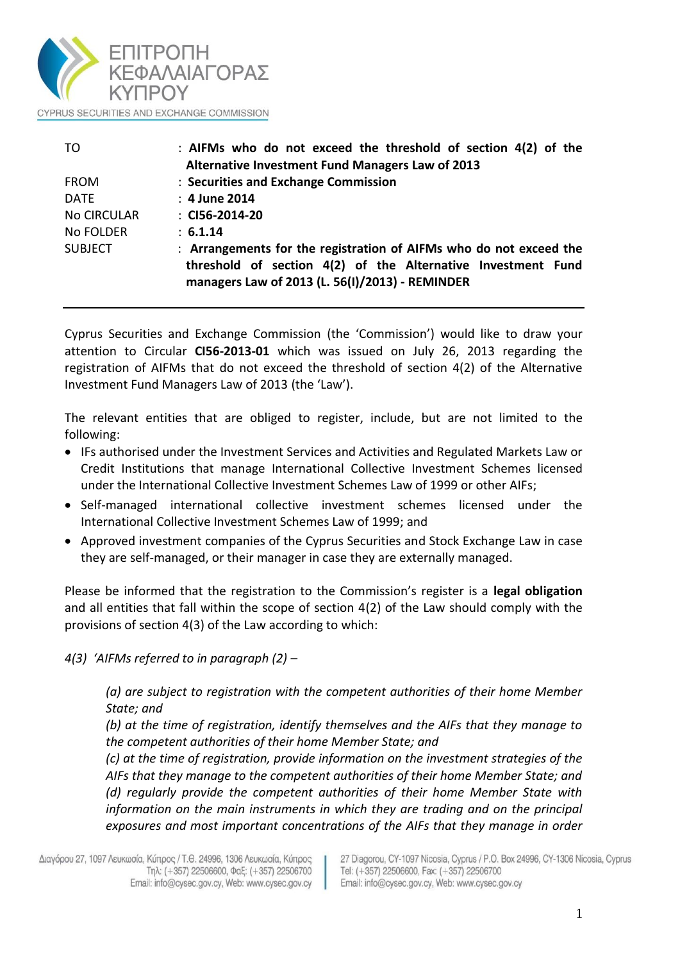

| TO                 | : AIFMs who do not exceed the threshold of section 4(2) of the<br>Alternative Investment Fund Managers Law of 2013                                                                    |
|--------------------|---------------------------------------------------------------------------------------------------------------------------------------------------------------------------------------|
| <b>FROM</b>        | : Securities and Exchange Commission                                                                                                                                                  |
| <b>DATE</b>        | : 4 June 2014                                                                                                                                                                         |
| <b>No CIRCULAR</b> | $: C156-2014-20$                                                                                                                                                                      |
| No FOLDER          | : 6.1.14                                                                                                                                                                              |
| <b>SUBJECT</b>     | : Arrangements for the registration of AIFMs who do not exceed the<br>threshold of section 4(2) of the Alternative Investment Fund<br>managers Law of 2013 (L. 56(I)/2013) - REMINDER |

Cyprus Securities and Exchange Commission (the 'Commission') would like to draw your attention to Circular **CI56-2013-01** which was issued on July 26, 2013 regarding the registration of AIFMs that do not exceed the threshold of section 4(2) of the Alternative Investment Fund Managers Law of 2013 (the 'Law').

The relevant entities that are obliged to register, include, but are not limited to the following:

- IFs authorised under the Investment Services and Activities and Regulated Markets Law or Credit Institutions that manage International Collective Investment Schemes licensed under the International Collective Investment Schemes Law of 1999 or other AIFs;
- Self-managed international collective investment schemes licensed under the International Collective Investment Schemes Law of 1999; and
- Approved investment companies of the Cyprus Securities and Stock Exchange Law in case they are self-managed, or their manager in case they are externally managed.

Please be informed that the registration to the Commission's register is a **legal obligation**  and all entities that fall within the scope of section 4(2) of the Law should comply with the provisions of section 4(3) of the Law according to which:

*4(3) 'AIFMs referred to in paragraph (2) –*

*(a) are subject to registration with the competent authorities of their home Member State; and* 

*(b) at the time of registration, identify themselves and the AIFs that they manage to the competent authorities of their home Member State; and*

*(c) at the time of registration, provide information on the investment strategies of the AIFs that they manage to the competent authorities of their home Member State; and (d) regularly provide the competent authorities of their home Member State with information on the main instruments in which they are trading and on the principal exposures and most important concentrations of the AIFs that they manage in order*